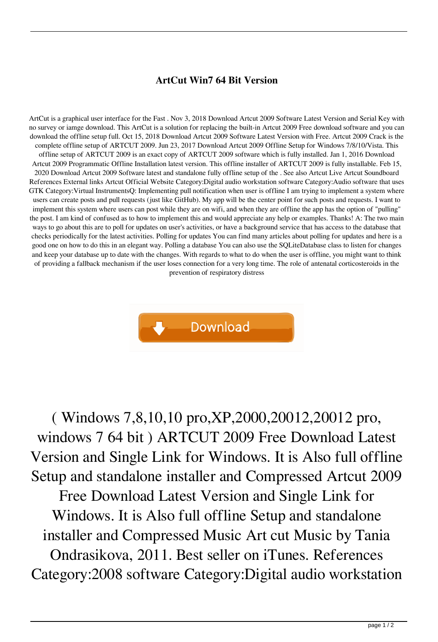## **ArtCut Win7 64 Bit Version**

ArtCut is a graphical user interface for the Fast . Nov 3, 2018 Download Artcut 2009 Software Latest Version and Serial Key with no survey or iamge download. This ArtCut is a solution for replacing the built-in Artcut 2009 Free download software and you can download the offline setup full. Oct 15, 2018 Download Artcut 2009 Software Latest Version with Free. Artcut 2009 Crack is the complete offline setup of ARTCUT 2009. Jun 23, 2017 Download Artcut 2009 Offline Setup for Windows 7/8/10/Vista. This offline setup of ARTCUT 2009 is an exact copy of ARTCUT 2009 software which is fully installed. Jan 1, 2016 Download Artcut 2009 Programmatic Offline Installation latest version. This offline installer of ARTCUT 2009 is fully installable. Feb 15, 2020 Download Artcut 2009 Software latest and standalone fully offline setup of the . See also Artcut Live Artcut Soundboard References External links Artcut Official Website Category:Digital audio workstation software Category:Audio software that uses GTK Category:Virtual InstrumentsQ: Implementing pull notification when user is offline I am trying to implement a system where users can create posts and pull requests (just like GitHub). My app will be the center point for such posts and requests. I want to implement this system where users can post while they are on wifi, and when they are offline the app has the option of "pulling" the post. I am kind of confused as to how to implement this and would appreciate any help or examples. Thanks! A: The two main ways to go about this are to poll for updates on user's activities, or have a background service that has access to the database that checks periodically for the latest activities. Polling for updates You can find many articles about polling for updates and here is a good one on how to do this in an elegant way. Polling a database You can also use the SQLiteDatabase class to listen for changes and keep your database up to date with the changes. With regards to what to do when the user is offline, you might want to think of providing a fallback mechanism if the user loses connection for a very long time. The role of antenatal corticosteroids in the prevention of respiratory distress



( Windows 7,8,10,10 pro,XP,2000,20012,20012 pro, windows 7 64 bit ) ARTCUT 2009 Free Download Latest Version and Single Link for Windows. It is Also full offline Setup and standalone installer and Compressed Artcut 2009 Free Download Latest Version and Single Link for Windows. It is Also full offline Setup and standalone installer and Compressed Music Art cut Music by Tania Ondrasikova, 2011. Best seller on iTunes. References Category:2008 software Category:Digital audio workstation